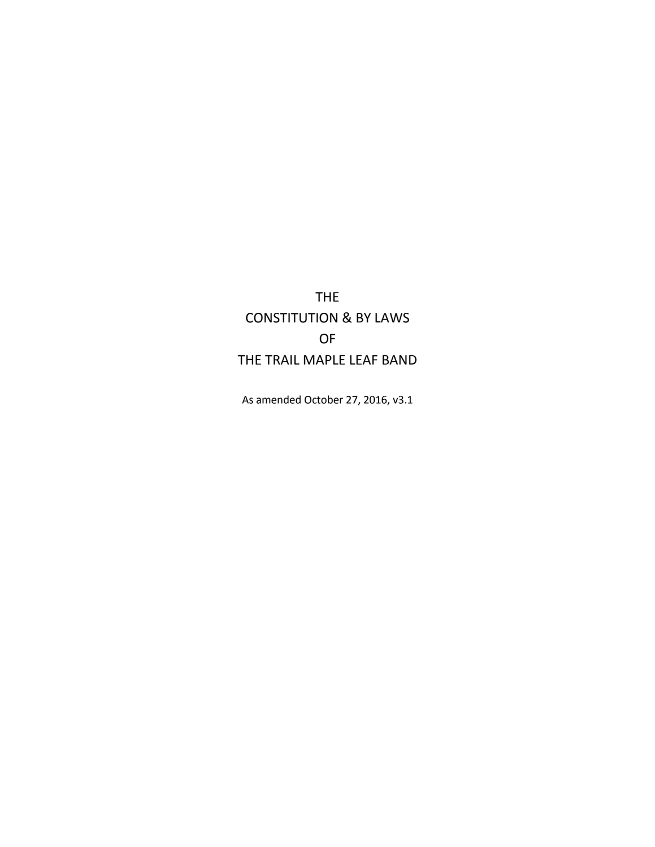THE CONSTITUTION & BY LAWS OF THE TRAIL MAPLE LEAF BAND

As amended October 27, 2016, v3.1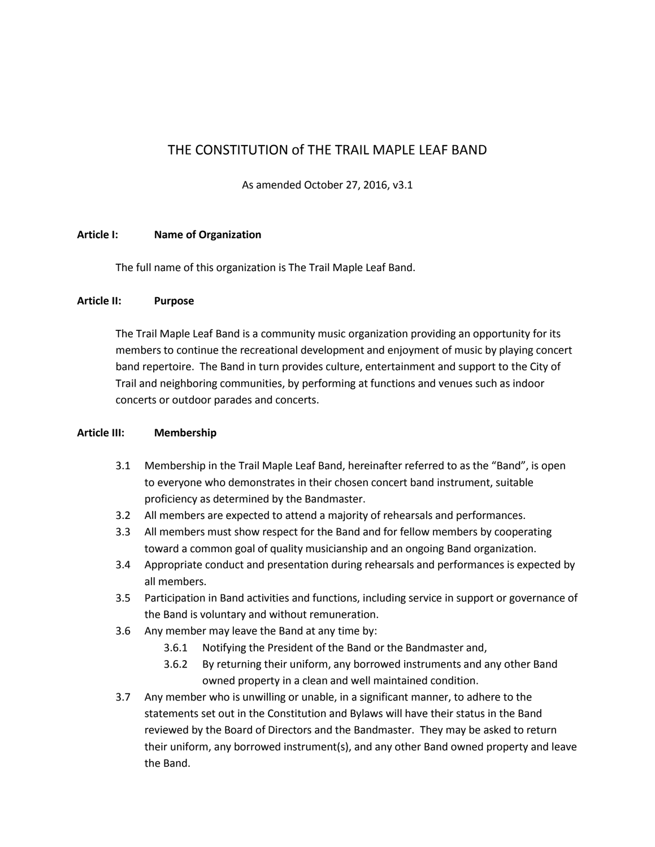# THE CONSTITUTION of THE TRAIL MAPLE LEAF BAND

As amended October 27, 2016, v3.1

### **Article I: Name of Organization**

The full name of this organization is The Trail Maple Leaf Band.

#### **Article II: Purpose**

The Trail Maple Leaf Band is a community music organization providing an opportunity for its members to continue the recreational development and enjoyment of music by playing concert band repertoire. The Band in turn provides culture, entertainment and support to the City of Trail and neighboring communities, by performing at functions and venues such as indoor concerts or outdoor parades and concerts.

#### **Article III: Membership**

- 3.1 Membership in the Trail Maple Leaf Band, hereinafter referred to as the "Band", is open to everyone who demonstrates in their chosen concert band instrument, suitable proficiency as determined by the Bandmaster.
- 3.2 All members are expected to attend a majority of rehearsals and performances.
- 3.3 All members must show respect for the Band and for fellow members by cooperating toward a common goal of quality musicianship and an ongoing Band organization.
- 3.4 Appropriate conduct and presentation during rehearsals and performances is expected by all members.
- 3.5 Participation in Band activities and functions, including service in support or governance of the Band is voluntary and without remuneration.
- 3.6 Any member may leave the Band at any time by:
	- 3.6.1 Notifying the President of the Band or the Bandmaster and,
	- 3.6.2 By returning their uniform, any borrowed instruments and any other Band owned property in a clean and well maintained condition.
- 3.7 Any member who is unwilling or unable, in a significant manner, to adhere to the statements set out in the Constitution and Bylaws will have their status in the Band reviewed by the Board of Directors and the Bandmaster. They may be asked to return their uniform, any borrowed instrument(s), and any other Band owned property and leave the Band.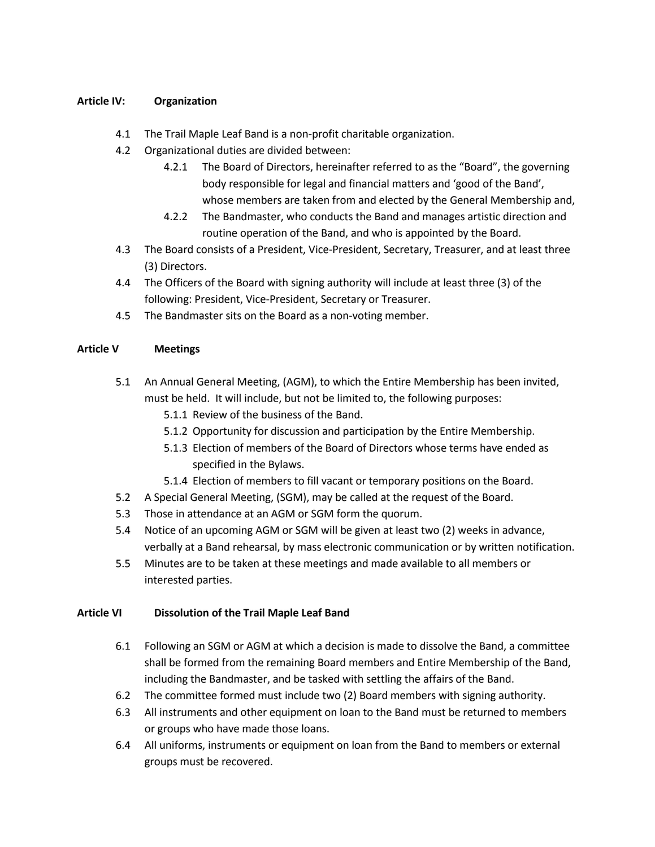## **Article IV: Organization**

- 4.1 The Trail Maple Leaf Band is a non-profit charitable organization.
- 4.2 Organizational duties are divided between:
	- 4.2.1 The Board of Directors, hereinafter referred to as the "Board", the governing body responsible for legal and financial matters and 'good of the Band', whose members are taken from and elected by the General Membership and,
	- 4.2.2 The Bandmaster, who conducts the Band and manages artistic direction and routine operation of the Band, and who is appointed by the Board.
- 4.3 The Board consists of a President, Vice-President, Secretary, Treasurer, and at least three (3) Directors.
- 4.4 The Officers of the Board with signing authority will include at least three (3) of the following: President, Vice-President, Secretary or Treasurer.
- 4.5 The Bandmaster sits on the Board as a non-voting member.

# **Article V Meetings**

- 5.1 An Annual General Meeting, (AGM), to which the Entire Membership has been invited, must be held. It will include, but not be limited to, the following purposes:
	- 5.1.1 Review of the business of the Band.
	- 5.1.2 Opportunity for discussion and participation by the Entire Membership.
	- 5.1.3 Election of members of the Board of Directors whose terms have ended as specified in the Bylaws.
	- 5.1.4 Election of members to fill vacant or temporary positions on the Board.
- 5.2 A Special General Meeting, (SGM), may be called at the request of the Board.
- 5.3 Those in attendance at an AGM or SGM form the quorum.
- 5.4 Notice of an upcoming AGM or SGM will be given at least two (2) weeks in advance, verbally at a Band rehearsal, by mass electronic communication or by written notification.
- 5.5 Minutes are to be taken at these meetings and made available to all members or interested parties.

#### **Article VI Dissolution of the Trail Maple Leaf Band**

- 6.1 Following an SGM or AGM at which a decision is made to dissolve the Band, a committee shall be formed from the remaining Board members and Entire Membership of the Band, including the Bandmaster, and be tasked with settling the affairs of the Band.
- 6.2 The committee formed must include two (2) Board members with signing authority.
- 6.3 All instruments and other equipment on loan to the Band must be returned to members or groups who have made those loans.
- 6.4 All uniforms, instruments or equipment on loan from the Band to members or external groups must be recovered.